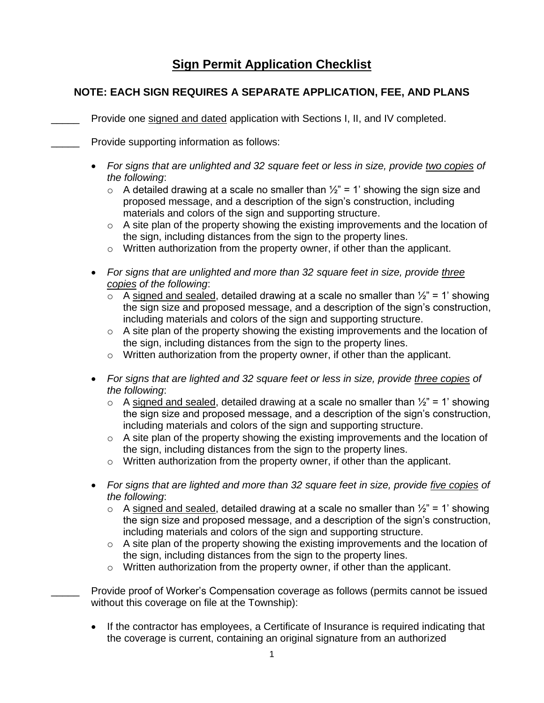## **Sign Permit Application Checklist**

## **NOTE: EACH SIGN REQUIRES A SEPARATE APPLICATION, FEE, AND PLANS**

- Provide one signed and dated application with Sections I, II, and IV completed.
- **EXECUTE:** Provide supporting information as follows:
	- *For signs that are unlighted and 32 square feet or less in size, provide two copies of the following*:
		- $\circ$  A detailed drawing at a scale no smaller than  $\frac{1}{2}$ " = 1' showing the sign size and proposed message, and a description of the sign's construction, including materials and colors of the sign and supporting structure.
		- o A site plan of the property showing the existing improvements and the location of the sign, including distances from the sign to the property lines.
		- o Written authorization from the property owner, if other than the applicant.
	- *For signs that are unlighted and more than 32 square feet in size, provide three copies of the following*:
		- $\circ$  A signed and sealed, detailed drawing at a scale no smaller than  $\frac{1}{2}$ " = 1' showing the sign size and proposed message, and a description of the sign's construction, including materials and colors of the sign and supporting structure.
		- $\circ$  A site plan of the property showing the existing improvements and the location of the sign, including distances from the sign to the property lines.
		- $\circ$  Written authorization from the property owner, if other than the applicant.
	- *For signs that are lighted and 32 square feet or less in size, provide three copies of the following*:
		- $\circ$  A signed and sealed, detailed drawing at a scale no smaller than  $\frac{1}{2}$ " = 1' showing the sign size and proposed message, and a description of the sign's construction, including materials and colors of the sign and supporting structure.
		- $\circ$  A site plan of the property showing the existing improvements and the location of the sign, including distances from the sign to the property lines.
		- o Written authorization from the property owner, if other than the applicant.
	- *For signs that are lighted and more than 32 square feet in size, provide five copies of the following*:
		- $\circ$  A signed and sealed, detailed drawing at a scale no smaller than  $\frac{1}{2}$ " = 1' showing the sign size and proposed message, and a description of the sign's construction, including materials and colors of the sign and supporting structure.
		- $\circ$  A site plan of the property showing the existing improvements and the location of the sign, including distances from the sign to the property lines.
		- $\circ$  Written authorization from the property owner, if other than the applicant.
	- Provide proof of Worker's Compensation coverage as follows (permits cannot be issued without this coverage on file at the Township):
	- If the contractor has employees, a Certificate of Insurance is required indicating that the coverage is current, containing an original signature from an authorized